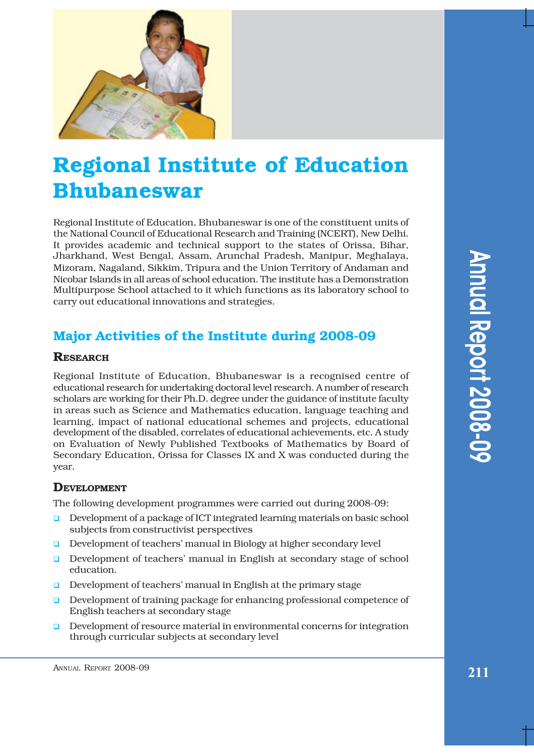

# **Regional Institute of Education Bhubaneswar**

Regional Institute of Education, Bhubaneswar is one of the constituent units of the National Council of Educational Research and Training (NCERT), New Delhi. It provides academic and technical support to the states of Orissa, Bihar, Jharkhand, West Bengal, Assam, Arunchal Pradesh, Manipur, Meghalaya, Mizoram, Nagaland, Sikkim, Tripura and the Union Territory of Andaman and Nicobar Islands in all areas of school education. The institute has a Demonstration Multipurpose School attached to it which functions as its laboratory school to carry out educational innovations and strategies.

# **Major Activities of the Institute during 2008-09**

# **RESEARCH**

Regional Institute of Education, Bhubaneswar is a recognised centre of educational research for undertaking doctoral level research. A number of research scholars are working for their Ph.D. degree under the guidance of institute faculty in areas such as Science and Mathematics education, language teaching and learning, impact of national educational schemes and projects, educational development of the disabled, correlates of educational achievements, etc. A study on Evaluation of Newly Published Textbooks of Mathematics by Board of Secondary Education, Orissa for Classes IX and X was conducted during the year.

# **DEVELOPMENT**

The following development programmes were carried out during 2008-09:

- **D** Development of a package of ICT integrated learning materials on basic school subjects from constructivist perspectives
- Development of teachers' manual in Biology at higher secondary level
- **D** Development of teachers' manual in English at secondary stage of school education.
- $\Box$  Development of teachers' manual in English at the primary stage
- **D** Development of training package for enhancing professional competence of English teachers at secondary stage
- ! Development of resource material in environmental concerns for integration through curricular subjects at secondary level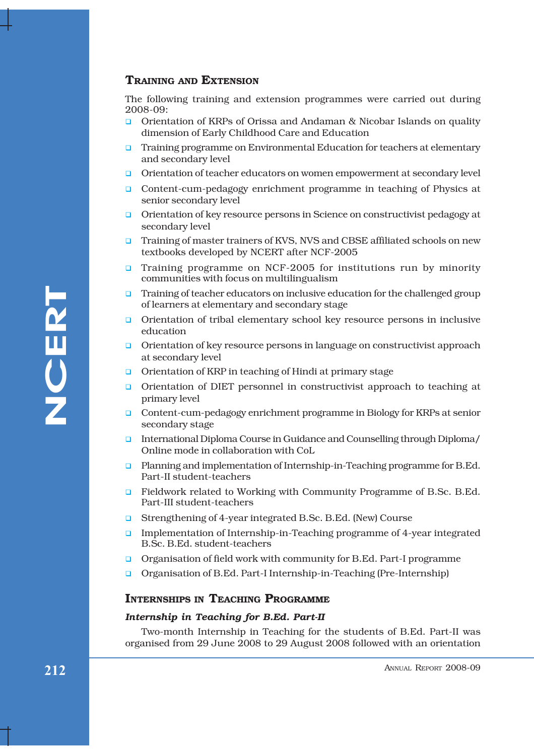## **TRAINING AND EXTENSION**

The following training and extension programmes were carried out during 2008-09:

- ! Orientation of KRPs of Orissa and Andaman & Nicobar Islands on quality dimension of Early Childhood Care and Education
- **I.** Training programme on Environmental Education for teachers at elementary and secondary level
- **Q** Orientation of teacher educators on women empowerment at secondary level
- **Q** Content-cum-pedagogy enrichment programme in teaching of Physics at senior secondary level
- **Q** Orientation of key resource persons in Science on constructivist pedagogy at secondary level
- **Training of master trainers of KVS, NVS and CBSE affiliated schools on new** textbooks developed by NCERT after NCF-2005
- **Training programme on NCF-2005 for institutions run by minority** communities with focus on multilingualism
- $\Box$  Training of teacher educators on inclusive education for the challenged group of learners at elementary and secondary stage
- ! Orientation of tribal elementary school key resource persons in inclusive education
- **Q** Orientation of key resource persons in language on constructivist approach at secondary level
- **Q** Orientation of KRP in teaching of Hindi at primary stage
- Famil<br/>mg of teacher educations on inclusive education for the challenged group<br/>of channers at clementary and secondary stage of Orientation of tribal elementary school key resource persons in inclusive condentatio **Q** Orientation of DIET personnel in constructivist approach to teaching at primary level
	- ! Content-cum-pedagogy enrichment programme in Biology for KRPs at senior secondary stage
	- ! International Diploma Course in Guidance and Counselling through Diploma/ Online mode in collaboration with CoL
	- **a** Planning and implementation of Internship-in-Teaching programme for B.Ed. Part-II student-teachers
	- **E** Fieldwork related to Working with Community Programme of B.Sc. B.Ed. Part-III student-teachers
	- Strengthening of 4-year integrated B.Sc. B.Ed. (New) Course
	- **Implementation of Internship-in-Teaching programme of 4-year integrated** B.Sc. B.Ed. student-teachers
	- ! Organisation of field work with community for B.Ed. Part-I programme
	- ! Organisation of B.Ed. Part-I Internship-in-Teaching (Pre-Internship)

### **INTERNSHIPS IN TEACHING PROGRAMME**

#### *Internship in Teaching for B.Ed. Part-II*

Two-month Internship in Teaching for the students of B.Ed. Part-II was organised from 29 June 2008 to 29 August 2008 followed with an orientation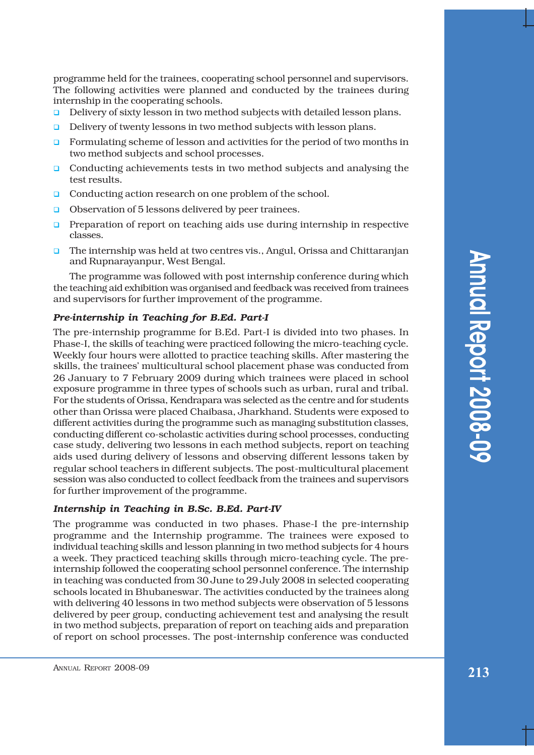programme held for the trainees, cooperating school personnel and supervisors. The following activities were planned and conducted by the trainees during internship in the cooperating schools.

- Delivery of sixty lesson in two method subjects with detailed lesson plans.
- $\Box$  Delivery of twenty lessons in two method subjects with lesson plans.
- $\Box$  Formulating scheme of lesson and activities for the period of two months in two method subjects and school processes.
- **Q** Conducting achievements tests in two method subjects and analysing the test results.
- **Q** Conducting action research on one problem of the school.
- **Q** Observation of 5 lessons delivered by peer trainees.
- **Preparation of report on teaching aids use during internship in respective** classes.
- $\Box$  The internship was held at two centres vis., Angul, Orissa and Chittaranjan and Rupnarayanpur, West Bengal.

The programme was followed with post internship conference during which the teaching aid exhibition was organised and feedback was received from trainees and supervisors for further improvement of the programme.

#### *Pre-internship in Teaching for B.Ed. Part-I*

The pre-internship programme for B.Ed. Part-I is divided into two phases. In Phase-I, the skills of teaching were practiced following the micro-teaching cycle. Weekly four hours were allotted to practice teaching skills. After mastering the skills, the trainees' multicultural school placement phase was conducted from 26 January to 7 February 2009 during which trainees were placed in school exposure programme in three types of schools such as urban, rural and tribal. For the students of Orissa, Kendrapara was selected as the centre and for students other than Orissa were placed Chaibasa, Jharkhand. Students were exposed to different activities during the programme such as managing substitution classes, conducting different co-scholastic activities during school processes, conducting case study, delivering two lessons in each method subjects, report on teaching aids used during delivery of lessons and observing different lessons taken by regular school teachers in different subjects. The post-multicultural placement session was also conducted to collect feedback from the trainees and supervisors for further improvement of the programme.

#### *Internship in Teaching in B.Sc. B.Ed. Part-IV*

The programme was conducted in two phases. Phase-I the pre-internship programme and the Internship programme. The trainees were exposed to individual teaching skills and lesson planning in two method subjects for 4 hours a week. They practiced teaching skills through micro-teaching cycle. The preinternship followed the cooperating school personnel conference. The internship in teaching was conducted from 30 June to 29 July 2008 in selected cooperating schools located in Bhubaneswar. The activities conducted by the trainees along with delivering 40 lessons in two method subjects were observation of 5 lessons delivered by peer group, conducting achievement test and analysing the result in two method subjects, preparation of report on teaching aids and preparation of report on school processes. The post-internship conference was conducted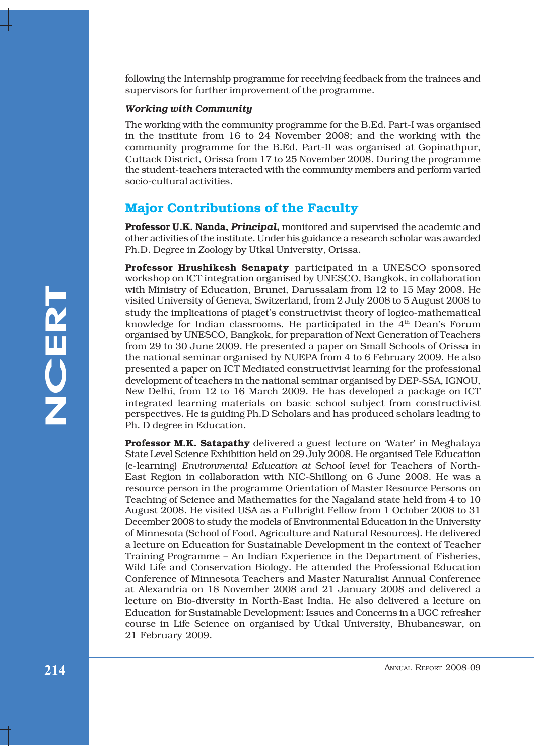following the Internship programme for receiving feedback from the trainees and supervisors for further improvement of the programme.

#### *Working with Community*

The working with the community programme for the B.Ed. Part-I was organised in the institute from 16 to 24 November 2008; and the working with the community programme for the B.Ed. Part-II was organised at Gopinathpur, Cuttack District, Orissa from 17 to 25 November 2008. During the programme the student-teachers interacted with the community members and perform varied socio-cultural activities.

# **Major Contributions of the Faculty**

**Professor U.K. Nanda,** *Principal,* monitored and supervised the academic and other activities of the institute. Under his guidance a research scholar was awarded Ph.D. Degree in Zoology by Utkal University, Orissa.

**Professor Hrushikesh Senapaty** participated in a UNESCO sponsored workshop on ICT integration organised by UNESCO, Bangkok, in collaboration with Ministry of Education, Brunei, Darussalam from 12 to 15 May 2008. He visited University of Geneva, Switzerland, from 2 July 2008 to 5 August 2008 to study the implications of piagetís constructivist theory of logico-mathematical knowledge for Indian classrooms. He participated in the 4<sup>th</sup> Dean's Forum organised by UNESCO, Bangkok, for preparation of Next Generation of Teachers from 29 to 30 June 2009. He presented a paper on Small Schools of Orissa in the national seminar organised by NUEPA from 4 to 6 February 2009. He also presented a paper on ICT Mediated constructivist learning for the professional development of teachers in the national seminar organised by DEP-SSA, IGNOU, New Delhi, from 12 to 16 March 2009. He has developed a package on ICT integrated learning materials on basic school subject from constructivist perspectives. He is guiding Ph.D Scholars and has produced scholars leading to Ph. D degree in Education.

With Ministry of Education. Brunch, Darusselam from 12 to 15 May 2008. He study the ministeriors of phaget's constructivist theory of logic manhematical study the study the ministeriors of phagets constructivist theory of **Professor M.K. Satapathy** delivered a guest lecture on 'Water' in Meghalaya State Level Science Exhibition held on 29 July 2008. He organised Tele Education (e-learning) *Environmental Education at School level* for Teachers of North-East Region in collaboration with NIC-Shillong on 6 June 2008. He was a resource person in the programme Orientation of Master Resource Persons on Teaching of Science and Mathematics for the Nagaland state held from 4 to 10 August 2008. He visited USA as a Fulbright Fellow from 1 October 2008 to 31 December 2008 to study the models of Environmental Education in the University of Minnesota (School of Food, Agriculture and Natural Resources). He delivered a lecture on Education for Sustainable Development in the context of Teacher Training Programme – An Indian Experience in the Department of Fisheries, Wild Life and Conservation Biology. He attended the Professional Education Conference of Minnesota Teachers and Master Naturalist Annual Conference at Alexandria on 18 November 2008 and 21 January 2008 and delivered a lecture on Bio-diversity in North-East India. He also delivered a lecture on Education for Sustainable Development: Issues and Concerns in a UGC refresher course in Life Science on organised by Utkal University, Bhubaneswar, on 21 February 2009.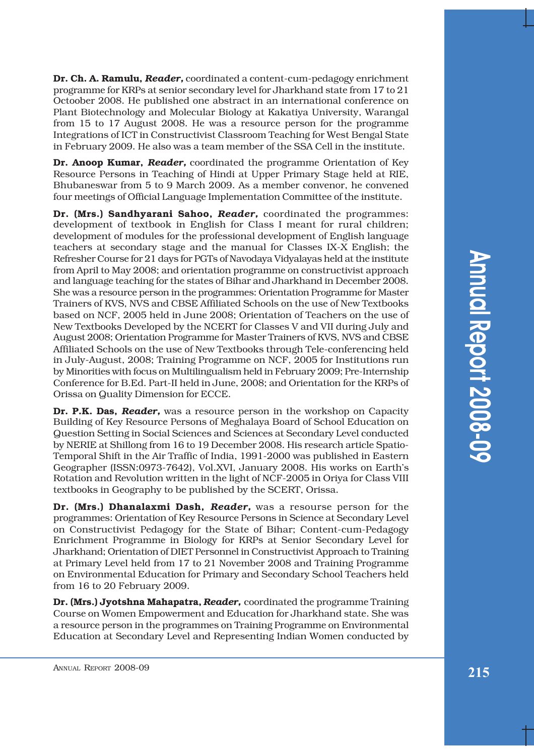Annual Report 2008-09 **Annual Report 2008-09** 

**Dr. Ch. A. Ramulu,** *Reader,* coordinated a content-cum-pedagogy enrichment programme for KRPs at senior secondary level for Jharkhand state from 17 to 21 Octoober 2008. He published one abstract in an international conference on Plant Biotechnology and Molecular Biology at Kakatiya University, Warangal from 15 to 17 August 2008. He was a resource person for the programme Integrations of ICT in Constructivist Classroom Teaching for West Bengal State in February 2009. He also was a team member of the SSA Cell in the institute.

**Dr. Anoop Kumar,** *Reader,* coordinated the programme Orientation of Key Resource Persons in Teaching of Hindi at Upper Primary Stage held at RIE, Bhubaneswar from 5 to 9 March 2009. As a member convenor, he convened four meetings of Official Language Implementation Committee of the institute.

**Dr. (Mrs.) Sandhyarani Sahoo,** *Reader,* coordinated the programmes: development of textbook in English for Class I meant for rural children; development of modules for the professional development of English language teachers at secondary stage and the manual for Classes IX-X English; the Refresher Course for 21 days for PGTs of Navodaya Vidyalayas held at the institute from April to May 2008; and orientation programme on constructivist approach and language teaching for the states of Bihar and Jharkhand in December 2008. She was a resource person in the programmes: Orientation Programme for Master Trainers of KVS, NVS and CBSE Affiliated Schools on the use of New Textbooks based on NCF, 2005 held in June 2008; Orientation of Teachers on the use of New Textbooks Developed by the NCERT for Classes V and VII during July and August 2008; Orientation Programme for Master Trainers of KVS, NVS and CBSE Affiliated Schools on the use of New Textbooks through Tele-conferencing held in July-August, 2008; Training Programme on NCF, 2005 for Institutions run by Minorities with focus on Multilingualism held in February 2009; Pre-Internship Conference for B.Ed. Part-II held in June, 2008; and Orientation for the KRPs of Orissa on Quality Dimension for ECCE.

**Dr. P.K. Das,** *Reader,* was a resource person in the workshop on Capacity Building of Key Resource Persons of Meghalaya Board of School Education on Question Setting in Social Sciences and Sciences at Secondary Level conducted by NERIE at Shillong from 16 to 19 December 2008. His research article Spatio-Temporal Shift in the Air Traffic of India, 1991-2000 was published in Eastern Geographer (ISSN:0973-7642), Vol.XVI, January 2008. His works on Earthís Rotation and Revolution written in the light of NCF-2005 in Oriya for Class VIII textbooks in Geography to be published by the SCERT, Orissa.

**Dr. (Mrs.) Dhanalaxmi Dash,** *Reader,* was a resourse person for the programmes: Orientation of Key Resource Persons in Science at Secondary Level on Constructivist Pedagogy for the State of Bihar; Content-cum-Pedagogy Enrichment Programme in Biology for KRPs at Senior Secondary Level for Jharkhand; Orientation of DIET Personnel in Constructivist Approach to Training at Primary Level held from 17 to 21 November 2008 and Training Programme on Environmental Education for Primary and Secondary School Teachers held from 16 to 20 February 2009.

**Dr. (Mrs.) Jyotshna Mahapatra,** *Reader,* coordinated the programme Training Course on Women Empowerment and Education for Jharkhand state. She was a resource person in the programmes on Training Programme on Environmental Education at Secondary Level and Representing Indian Women conducted by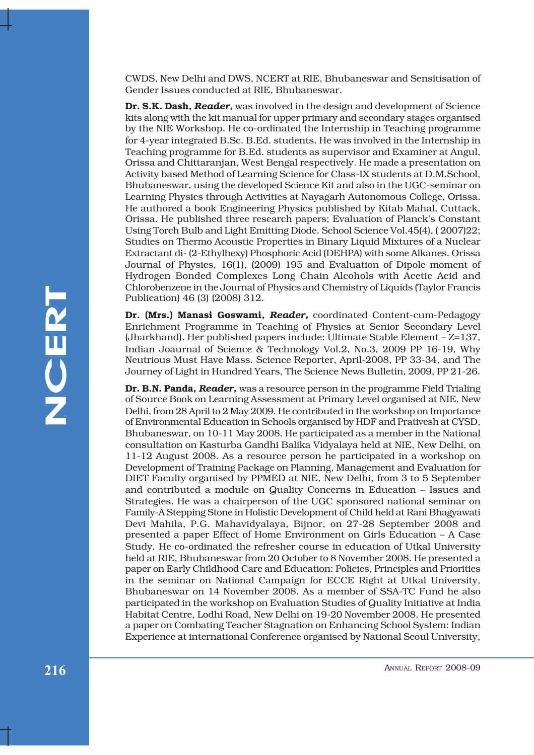CWDS, New Delhi and DWS, NCERT at RIE, Bhubaneswar and Sensitisation of Gender Issues conducted at RIE, Bhubaneswar.

**Dr. S.K. Dash,** *Reader,* was involved in the design and development of Science kits along with the kit manual for upper primary and secondary stages organised by the NIE Workshop. He co-ordinated the Internship in Teaching programme for 4-year integrated B.Sc. B.Ed. students. He was involved in the Internship in Teaching programme for B.Ed. students as supervisor and Examiner at Angul, Orissa and Chittaranjan, West Bengal respectively. He made a presentation on Activity based Method of Learning Science for Class-IX students at D.M.School, Bhubaneswar, using the developed Science Kit and also in the UGC-seminar on Learning Physics through Activities at Nayagarh Autonomous College, Orissa. He authored a book Engineering Physics published by Kitab Mahal, Cuttack, Orissa. He published three research papers; Evaluation of Planck's Constant Using Torch Bulb and Light Emitting Diode. School Science Vol.45(4), ( 2007)22; Studies on Thermo Acoustic Properties in Binary Liquid Mixtures of a Nuclear Extractant di- (2-Ethylhexy) Phosphoric Acid (DEHPA) with some Alkanes. Orissa Journal of Physics, 16(1), (2009) 195 and Evaluation of Dipole moment of Hydrogen Bonded Complexes Long Chain Alcohols with Acetic Acid and Chlorobenzene in the Journal of Physics and Chemistry of Liquids (Taylor Francis Publication) 46 (3) (2008) 312.

**Dr. (Mrs.) Manasi Goswami,** *Reader,* coordinated Content-cum-Pedagogy Enrichment Programme in Teaching of Physics at Senior Secondary Level (Jharkhand). Her published papers include: Ultimate Stable Element  $-Z=137$ , Indian Joaurnal of Science & Technology Vol.2, No.3, 2009 PP 16-19, Why Neutrious Must Have Mass. Science Reporter, April-2008, PP 33-34, and The Journey of Light in Hundred Years, The Science News Bulletin, 2009, PP 21-26.

Chioroenteem incolumning Peaksand Chemistry of Laquins (14900r Practices)<br> **Photoshophy of Sq. (Mass) Manasi Goswanni, Reader, coordinated Content-cum-Pedagogy<br>
Enrichment Programme in Teaching of Physics at Scribt Scromda Dr. B.N. Panda,** *Reader,* was a resource person in the programme Field Trialing of Source Book on Learning Assessment at Primary Level organised at NIE, New Delhi, from 28 April to 2 May 2009. He contributed in the workshop on Importance of Environmental Education in Schools organised by HDF and Prativesh at CYSD, Bhubaneswar, on 10-11 May 2008. He participated as a member in the National consultation on Kasturba Gandhi Balika Vidyalaya held at NIE, New Delhi, on 11-12 August 2008. As a resource person he participated in a workshop on Development of Training Package on Planning, Management and Evaluation for DIET Faculty organised by PPMED at NIE, New Delhi, from 3 to 5 September and contributed a module on Quality Concerns in Education - Issues and Strategies. He was a chairperson of the UGC sponsored national seminar on Family-A Stepping Stone in Holistic Development of Child held at Rani Bhagyawati Devi Mahila, P.G. Mahavidyalaya, Bijnor, on 27-28 September 2008 and presented a paper Effect of Home Environment on Girls Education  $-$  A Case Study. He co-ordinated the refresher course in education of Utkal University held at RIE, Bhubaneswar from 20 October to 8 November 2008. He presented a paper on Early Childhood Care and Education: Policies, Principles and Priorities in the seminar on National Campaign for ECCE Right at Utkal University, Bhubaneswar on 14 November 2008. As a member of SSA-TC Fund he also participated in the workshop on Evaluation Studies of Quality Initiative at India Habitat Centre, Lodhi Road, New Delhi on 19-20 November 2008. He presented a paper on Combating Teacher Stagnation on Enhancing School System: Indian Experience at international Conference organised by National Seoul University,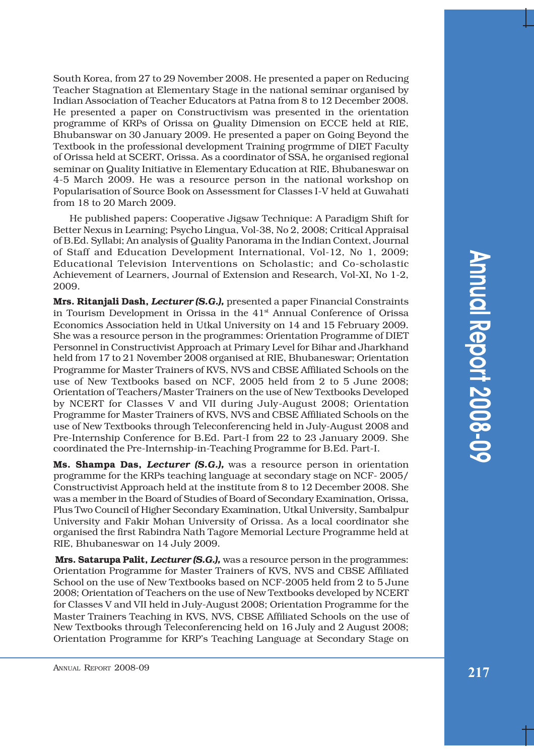South Korea, from 27 to 29 November 2008. He presented a paper on Reducing Teacher Stagnation at Elementary Stage in the national seminar organised by Indian Association of Teacher Educators at Patna from 8 to 12 December 2008. He presented a paper on Constructivism was presented in the orientation programme of KRPs of Orissa on Quality Dimension on ECCE held at RIE, Bhubanswar on 30 January 2009. He presented a paper on Going Beyond the Textbook in the professional development Training progrmme of DIET Faculty of Orissa held at SCERT, Orissa. As a coordinator of SSA, he organised regional seminar on Quality Initiative in Elementary Education at RIE, Bhubaneswar on 4-5 March 2009. He was a resource person in the national workshop on Popularisation of Source Book on Assessment for Classes I-V held at Guwahati from 18 to 20 March 2009.

He published papers: Cooperative Jigsaw Technique: A Paradigm Shift for Better Nexus in Learning; Psycho Lingua, Vol-38, No 2, 2008; Critical Appraisal of B.Ed. Syllabi; An analysis of Quality Panorama in the Indian Context, Journal of Staff and Education Development International, Vol-12, No 1, 2009; Educational Television Interventions on Scholastic; and Co-scholastic Achievement of Learners, Journal of Extension and Research, Vol-XI, No 1-2, 2009.

**Mrs. Ritanjali Dash,** *Lecturer (S.G.),* presented a paper Financial Constraints in Tourism Development in Orissa in the  $41<sup>st</sup>$  Annual Conference of Orissa Economics Association held in Utkal University on 14 and 15 February 2009. She was a resource person in the programmes: Orientation Programme of DIET Personnel in Constructivist Approach at Primary Level for Bihar and Jharkhand held from 17 to 21 November 2008 organised at RIE, Bhubaneswar; Orientation Programme for Master Trainers of KVS, NVS and CBSE Affiliated Schools on the use of New Textbooks based on NCF, 2005 held from 2 to 5 June 2008; Orientation of Teachers/Master Trainers on the use of New Textbooks Developed by NCERT for Classes V and VII during July-August 2008; Orientation Programme for Master Trainers of KVS, NVS and CBSE Affiliated Schools on the use of New Textbooks through Teleconferencing held in July-August 2008 and Pre-Internship Conference for B.Ed. Part-I from 22 to 23 January 2009. She coordinated the Pre-Internship-in-Teaching Programme for B.Ed. Part-I.

**Ms. Shampa Das,** *Lecturer (S.G.),* was a resource person in orientation programme for the KRPs teaching language at secondary stage on NCF- 2005/ Constructivist Approach held at the institute from 8 to 12 December 2008. She was a member in the Board of Studies of Board of Secondary Examination, Orissa, Plus Two Council of Higher Secondary Examination, Utkal University, Sambalpur University and Fakir Mohan University of Orissa. As a local coordinator she organised the first Rabindra Nath Tagore Memorial Lecture Programme held at RIE, Bhubaneswar on 14 July 2009.

**Mrs. Satarupa Palit,** *Lecturer (S.G.),* was a resource person in the programmes: Orientation Programme for Master Trainers of KVS, NVS and CBSE Affiliated School on the use of New Textbooks based on NCF-2005 held from 2 to 5 June 2008; Orientation of Teachers on the use of New Textbooks developed by NCERT for Classes V and VII held in July-August 2008; Orientation Programme for the Master Trainers Teaching in KVS, NVS, CBSE Affiliated Schools on the use of New Textbooks through Teleconferencing held on 16 July and 2 August 2008; Orientation Programme for KRPís Teaching Language at Secondary Stage on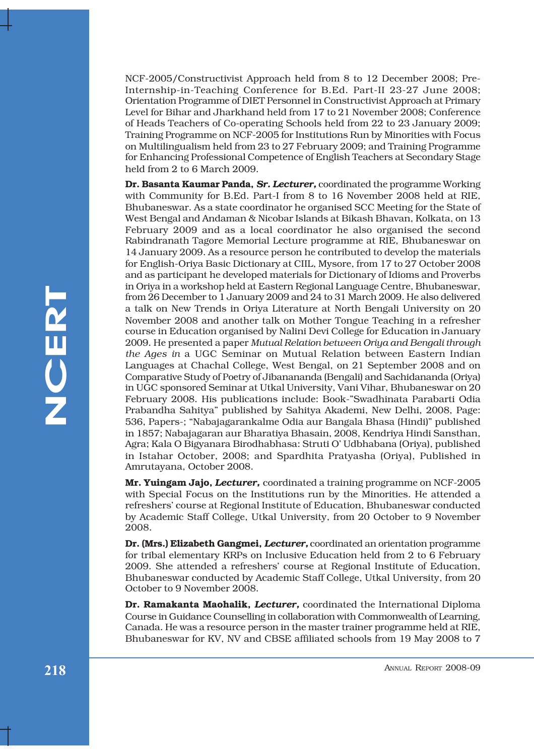NCF-2005/Constructivist Approach held from 8 to 12 December 2008; Pre-Internship-in-Teaching Conference for B.Ed. Part-II 23-27 June 2008; Orientation Programme of DIET Personnel in Constructivist Approach at Primary Level for Bihar and Jharkhand held from 17 to 21 November 2008; Conference of Heads Teachers of Co-operating Schools held from 22 to 23 January 2009; Training Programme on NCF-2005 for Institutions Run by Minorities with Focus on Multilingualism held from 23 to 27 February 2009; and Training Programme for Enhancing Professional Competence of English Teachers at Secondary Stage held from 2 to 6 March 2009.

From Maximum and Solen Transmitter and Solen Inconsection and the matrix and the matrix and the molecular November 2008 and another talk on Mother Tangit Creation is a reference and another talk on Mother Tangit Creation f **Dr. Basanta Kaumar Panda,** *Sr. Lecturer,* coordinated the programme Working with Community for B.Ed. Part-I from 8 to 16 November 2008 held at RIE, Bhubaneswar. As a state coordinator he organised SCC Meeting for the State of West Bengal and Andaman & Nicobar Islands at Bikash Bhavan, Kolkata, on 13 February 2009 and as a local coordinator he also organised the second Rabindranath Tagore Memorial Lecture programme at RIE, Bhubaneswar on 14 January 2009. As a resource person he contributed to develop the materials for English-Oriya Basic Dictionary at CIIL, Mysore, from 17 to 27 October 2008 and as participant he developed materials for Dictionary of Idioms and Proverbs in Oriya in a workshop held at Eastern Regional Language Centre, Bhubaneswar, from 26 December to 1 January 2009 and 24 to 31 March 2009. He also delivered a talk on New Trends in Oriya Literature at North Bengali University on 20 November 2008 and another talk on Mother Tongue Teaching in a refresher course in Education organised by Nalini Devi College for Education in January 2009. He presented a paper *Mutual Relation between Oriya and Bengali through the Ages in* a UGC Seminar on Mutual Relation between Eastern Indian Languages at Chachal College, West Bengal, on 21 September 2008 and on Comparative Study of Poetry of Jibanananda (Bengali) and Sachidananda (Oriya) in UGC sponsored Seminar at Utkal University, Vani Vihar, Bhubaneswar on 20 February 2008. His publications include: Book-îSwadhinata Parabarti Odia Prabandha Sahityaî published by Sahitya Akademi, New Delhi, 2008, Page: 536, Papers-; "Nabajagarankalme Odia aur Bangala Bhasa (Hindi)" published in 1857; Nabajagaran aur Bharatiya Bhasain, 2008, Kendriya Hindi Sansthan, Agra; Kala O Bigyanara Birodhabhasa: Struti O' Udbhabana (Oriya), published in Istahar October, 2008; and Spardhita Pratyasha (Oriya), Published in Amrutayana, October 2008.

**Mr. Yuingam Jajo,** *Lecturer,* coordinated a training programme on NCF-2005 with Special Focus on the Institutions run by the Minorities. He attended a refreshersí course at Regional Institute of Education, Bhubaneswar conducted by Academic Staff College, Utkal University, from 20 October to 9 November 2008.

**Dr. (Mrs.) Elizabeth Gangmei,** *Lecturer,* coordinated an orientation programme for tribal elementary KRPs on Inclusive Education held from 2 to 6 February 2009. She attended a refreshersí course at Regional Institute of Education, Bhubaneswar conducted by Academic Staff College, Utkal University, from 20 October to 9 November 2008.

**Dr. Ramakanta Maohalik,** *Lecturer,* coordinated the International Diploma Course in Guidance Counselling in collaboration with Commonwealth of Learning, Canada. He was a resource person in the master trainer programme held at RIE, Bhubaneswar for KV, NV and CBSE affiliated schools from 19 May 2008 to 7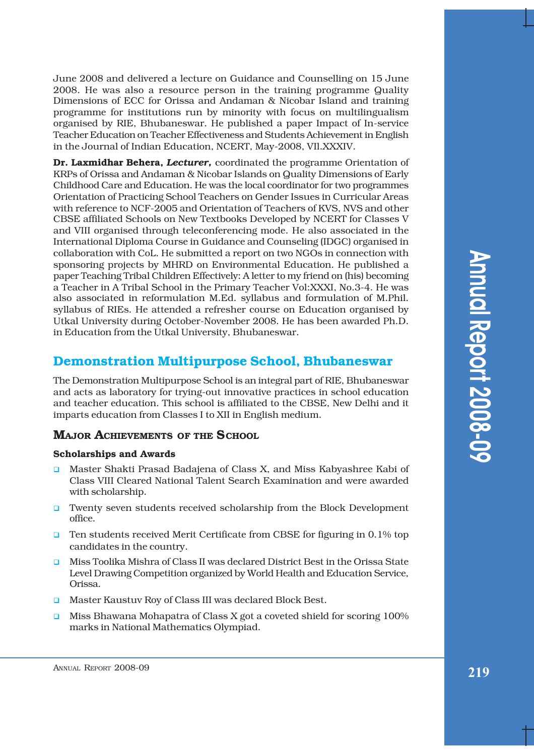June 2008 and delivered a lecture on Guidance and Counselling on 15 June 2008. He was also a resource person in the training programme Quality Dimensions of ECC for Orissa and Andaman & Nicobar Island and training programme for institutions run by minority with focus on multilingualism organised by RIE, Bhubaneswar. He published a paper Impact of In-service Teacher Education on Teacher Effectiveness and Students Achievement in English in the Journal of Indian Education, NCERT, May-2008, VIl.XXXIV.

**Dr. Laxmidhar Behera,** *Lecturer,* coordinated the programme Orientation of KRPs of Orissa and Andaman & Nicobar Islands on Quality Dimensions of Early Childhood Care and Education. He was the local coordinator for two programmes Orientation of Practicing School Teachers on Gender Issues in Curricular Areas with reference to NCF-2005 and Orientation of Teachers of KVS, NVS and other CBSE affiliated Schools on New Textbooks Developed by NCERT for Classes V and VIII organised through teleconferencing mode. He also associated in the International Diploma Course in Guidance and Counseling (IDGC) organised in collaboration with CoL. He submitted a report on two NGOs in connection with sponsoring projects by MHRD on Environmental Education. He published a paper Teaching Tribal Children Effectively: A letter to my friend on (his) becoming a Teacher in A Tribal School in the Primary Teacher Vol:XXXI, No.3-4. He was also associated in reformulation M.Ed. syllabus and formulation of M.Phil. syllabus of RIEs. He attended a refresher course on Education organised by Utkal University during October-November 2008. He has been awarded Ph.D. in Education from the Utkal University, Bhubaneswar.

# **Demonstration Multipurpose School, Bhubaneswar**

The Demonstration Multipurpose School is an integral part of RIE, Bhubaneswar and acts as laboratory for trying-out innovative practices in school education and teacher education. This school is affiliated to the CBSE, New Delhi and it imparts education from Classes I to XII in English medium.

# **MAJOR ACHIEVEMENTS OF THE SCHOOL**

## **Scholarships and Awards**

- $\Box$  Master Shakti Prasad Badajena of Class X, and Miss Kabyashree Kabi of Class VIII Cleared National Talent Search Examination and were awarded with scholarship.
- **I.** Twenty seven students received scholarship from the Block Development office.
- **Ten students received Merit Certificate from CBSE for figuring in 0.1% top** candidates in the country.
- ! Miss Toolika Mishra of Class II was declared District Best in the Orissa State Level Drawing Competition organized by World Health and Education Service, Orissa.
- **I.** Master Kaustuv Roy of Class III was declared Block Best.
- **I.** Miss Bhawana Mohapatra of Class X got a coveted shield for scoring 100% marks in National Mathematics Olympiad.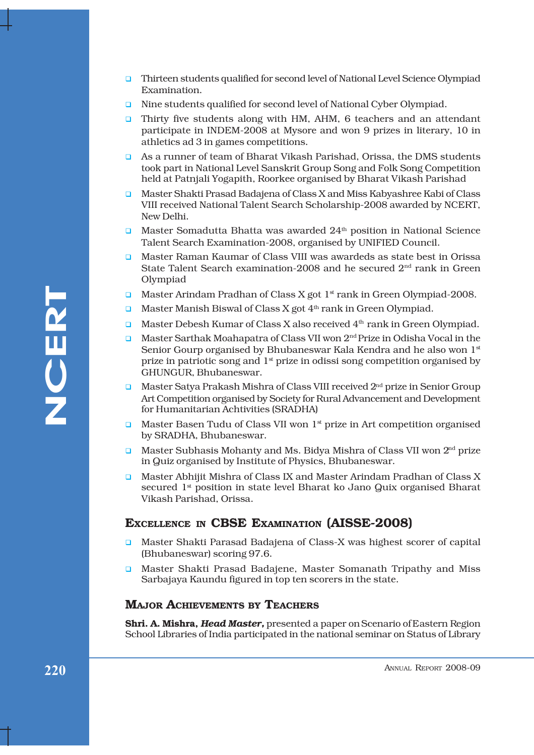- **Thirteen students qualified for second level of National Level Science Olympiad** Examination.
- **I** Nine students qualified for second level of National Cyber Olympiad.
- **I.** Thirty five students along with HM, AHM, 6 teachers and an attendant participate in INDEM-2008 at Mysore and won 9 prizes in literary, 10 in athletics ad 3 in games competitions.
- ! As a runner of team of Bharat Vikash Parishad, Orissa, the DMS students took part in National Level Sanskrit Group Song and Folk Song Competition held at Patnjali Yogapith, Roorkee organised by Bharat Vikash Parishad
- **I.** Master Shakti Prasad Badajena of Class X and Miss Kabyashree Kabi of Class VIII received National Talent Search Scholarship-2008 awarded by NCERT, New Delhi.
- $\Box$  Master Somadutta Bhatta was awarded  $24<sup>th</sup>$  position in National Science Talent Search Examination-2008, organised by UNIFIED Council.
- ! Master Raman Kaumar of Class VIII was awardeds as state best in Orissa State Talent Search examination-2008 and he secured  $2<sup>nd</sup>$  rank in Green Olympiad
- **I.** Master Arindam Pradhan of Class X got  $1<sup>st</sup>$  rank in Green Olympiad-2008.
- **I.** Master Manish Biswal of Class X got  $4<sup>th</sup>$  rank in Green Olympiad.
- **I.** Master Debesh Kumar of Class X also received  $4<sup>th</sup>$  rank in Green Olympiad.
- Master Arindean Predhan of Class X got 1<sup>4</sup> rank in Green Olympiad-2008.<br>
Master Manish Islawal of Class X got 4<sup>4</sup> rank in Green Olympiad.<br>
Master Marish Islawal of Class X also received 4<sup>2</sup> rank in Green Olympiad.<br>
Mas **I.** Master Sarthak Moahapatra of Class VII won  $2<sup>nd</sup>$  Prize in Odisha Vocal in the Senior Gourp organised by Bhubaneswar Kala Kendra and he also won 1st prize in patriotic song and  $1<sup>st</sup>$  prize in odissi song competition organised by GHUNGUR, Bhubaneswar.
	- □ Master Satya Prakash Mishra of Class VIII received 2<sup>nd</sup> prize in Senior Group Art Competition organised by Society for Rural Advancement and Development for Humanitarian Achtivities (SRADHA)
	- $\Box$  Master Basen Tudu of Class VII won  $1^{\text{st}}$  prize in Art competition organised by SRADHA, Bhubaneswar.
	- **I.** Master Subhasis Mohanty and Ms. Bidya Mishra of Class VII won  $2<sup>nd</sup>$  prize in Quiz organised by Institute of Physics, Bhubaneswar.
	- **I.** Master Abhijit Mishra of Class IX and Master Arindam Pradhan of Class X secured 1<sup>st</sup> position in state level Bharat ko Jano Quix organised Bharat Vikash Parishad, Orissa.

## **EXCELLENCE IN CBSE EXAMINATION (AISSE-2008)**

- **Q** Master Shakti Parasad Badajena of Class-X was highest scorer of capital (Bhubaneswar) scoring 97.6.
- **Q** Master Shakti Prasad Badajene, Master Somanath Tripathy and Miss Sarbajaya Kaundu figured in top ten scorers in the state.

## **MAJOR ACHIEVEMENTS BY TEACHERS**

**Shri. A. Mishra,** *Head Master,* presented a paper on Scenario of Eastern Region School Libraries of India participated in the national seminar on Status of Library